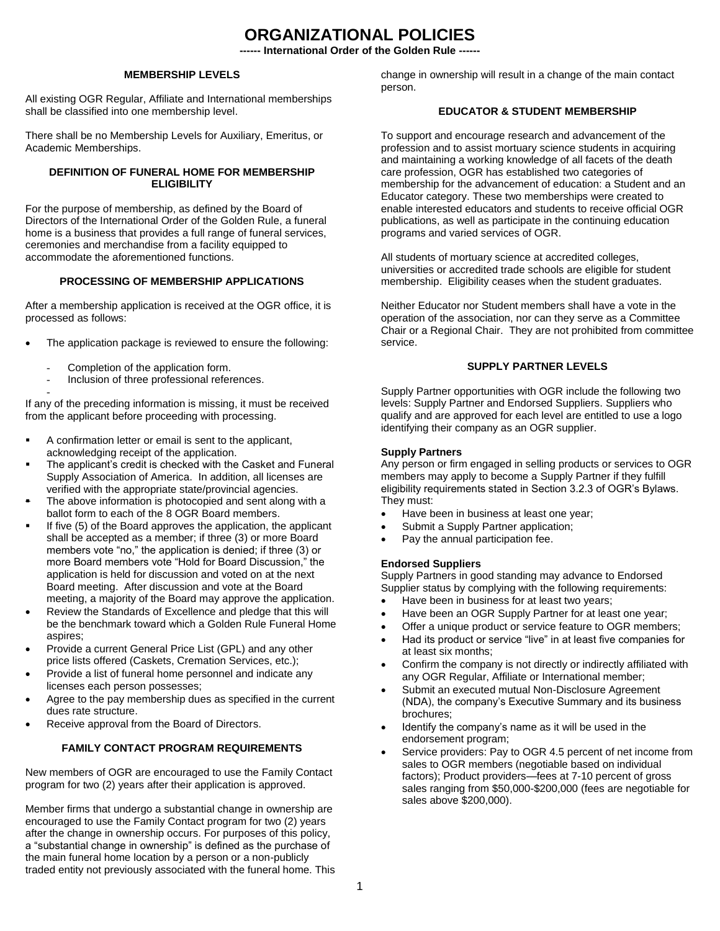# **ORGANIZATIONAL POLICIES**

**-- International Order of the Golden Rule --**

#### **MEMBERSHIP LEVELS**

All existing OGR Regular, Affiliate and International memberships shall be classified into one membership level.

There shall be no Membership Levels for Auxiliary, Emeritus, or Academic Memberships.

#### **DEFINITION OF FUNERAL HOME FOR MEMBERSHIP ELIGIBILITY**

For the purpose of membership, as defined by the Board of Directors of the International Order of the Golden Rule, a funeral home is a business that provides a full range of funeral services, ceremonies and merchandise from a facility equipped to accommodate the aforementioned functions.

## **PROCESSING OF MEMBERSHIP APPLICATIONS**

After a membership application is received at the OGR office, it is processed as follows:

- The application package is reviewed to ensure the following:
	- Completion of the application form.
	- Inclusion of three professional references.

- If any of the preceding information is missing, it must be received from the applicant before proceeding with processing.

- A confirmation letter or email is sent to the applicant, acknowledging receipt of the application.
- The applicant's credit is checked with the Casket and Funeral Supply Association of America. In addition, all licenses are verified with the appropriate state/provincial agencies.
- The above information is photocopied and sent along with a ballot form to each of the 8 OGR Board members.
- If five (5) of the Board approves the application, the applicant shall be accepted as a member; if three (3) or more Board members vote "no," the application is denied; if three (3) or more Board members vote "Hold for Board Discussion," the application is held for discussion and voted on at the next Board meeting. After discussion and vote at the Board meeting, a majority of the Board may approve the application.
- Review the Standards of Excellence and pledge that this will be the benchmark toward which a Golden Rule Funeral Home aspires;
- Provide a current General Price List (GPL) and any other price lists offered (Caskets, Cremation Services, etc.);
- Provide a list of funeral home personnel and indicate any licenses each person possesses;
- Agree to the pay membership dues as specified in the current dues rate structure.
- Receive approval from the Board of Directors.

#### **FAMILY CONTACT PROGRAM REQUIREMENTS**

New members of OGR are encouraged to use the Family Contact program for two (2) years after their application is approved.

Member firms that undergo a substantial change in ownership are encouraged to use the Family Contact program for two (2) years after the change in ownership occurs. For purposes of this policy, a "substantial change in ownership" is defined as the purchase of the main funeral home location by a person or a non-publicly traded entity not previously associated with the funeral home. This change in ownership will result in a change of the main contact person.

## **EDUCATOR & STUDENT MEMBERSHIP**

To support and encourage research and advancement of the profession and to assist mortuary science students in acquiring and maintaining a working knowledge of all facets of the death care profession, OGR has established two categories of membership for the advancement of education: a Student and an Educator category. These two memberships were created to enable interested educators and students to receive official OGR publications, as well as participate in the continuing education programs and varied services of OGR.

All students of mortuary science at accredited colleges, universities or accredited trade schools are eligible for student membership. Eligibility ceases when the student graduates.

Neither Educator nor Student members shall have a vote in the operation of the association, nor can they serve as a Committee Chair or a Regional Chair. They are not prohibited from committee service.

#### **SUPPLY PARTNER LEVELS**

Supply Partner opportunities with OGR include the following two levels: Supply Partner and Endorsed Suppliers. Suppliers who qualify and are approved for each level are entitled to use a logo identifying their company as an OGR supplier.

#### **Supply Partners**

Any person or firm engaged in selling products or services to OGR members may apply to become a Supply Partner if they fulfill eligibility requirements stated in Section 3.2.3 of OGR's Bylaws. They must:

- Have been in business at least one year;
- Submit a Supply Partner application;
- Pay the annual participation fee.

#### **Endorsed Suppliers**

Supply Partners in good standing may advance to Endorsed Supplier status by complying with the following requirements:

- Have been in business for at least two years;
- Have been an OGR Supply Partner for at least one year;
- Offer a unique product or service feature to OGR members;
- Had its product or service "live" in at least five companies for at least six months;
- Confirm the company is not directly or indirectly affiliated with any OGR Regular, Affiliate or International member;
- Submit an executed mutual Non-Disclosure Agreement (NDA), the company's Executive Summary and its business brochures;
- Identify the company's name as it will be used in the endorsement program;
- Service providers: Pay to OGR 4.5 percent of net income from sales to OGR members (negotiable based on individual factors); Product providers—fees at 7-10 percent of gross sales ranging from \$50,000-\$200,000 (fees are negotiable for sales above \$200,000).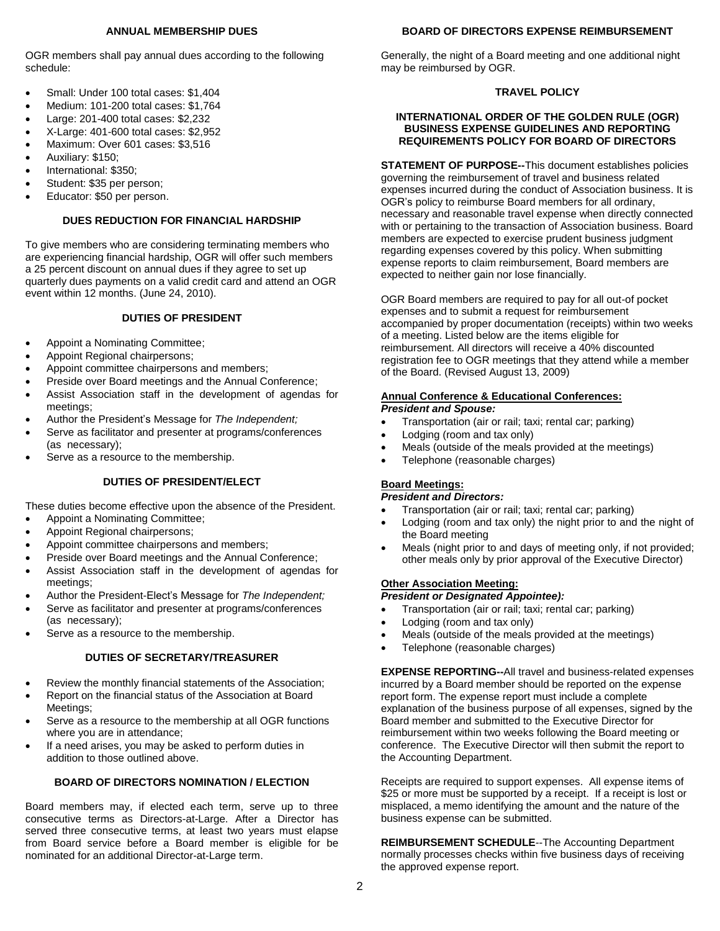#### **ANNUAL MEMBERSHIP DUES**

#### **BOARD OF DIRECTORS EXPENSE REIMBURSEMENT**

OGR members shall pay annual dues according to the following schedule:

- Small: Under 100 total cases: \$1,404
- Medium: 101-200 total cases: \$1,764
- Large: 201-400 total cases: \$2,232
- X-Large: 401-600 total cases: \$2,952
- Maximum: Over 601 cases: \$3,516
- Auxiliary: \$150;
- International: \$350;
- Student: \$35 per person:
- Educator: \$50 per person.

#### **DUES REDUCTION FOR FINANCIAL HARDSHIP**

To give members who are considering terminating members who are experiencing financial hardship, OGR will offer such members a 25 percent discount on annual dues if they agree to set up quarterly dues payments on a valid credit card and attend an OGR event within 12 months. (June 24, 2010).

## **DUTIES OF PRESIDENT**

- Appoint a Nominating Committee;
- Appoint Regional chairpersons;
- Appoint committee chairpersons and members;
- Preside over Board meetings and the Annual Conference;
- Assist Association staff in the development of agendas for meetings;
- Author the President's Message for *The Independent;*
- Serve as facilitator and presenter at programs/conferences (as necessary);
- Serve as a resource to the membership.

#### **DUTIES OF PRESIDENT/ELECT**

These duties become effective upon the absence of the President.

- Appoint a Nominating Committee;
- Appoint Regional chairpersons;
- Appoint committee chairpersons and members;
- Preside over Board meetings and the Annual Conference;
- Assist Association staff in the development of agendas for meetings;
- Author the President-Elect's Message for *The Independent;*
- Serve as facilitator and presenter at programs/conferences (as necessary);
- Serve as a resource to the membership.

#### **DUTIES OF SECRETARY/TREASURER**

- Review the monthly financial statements of the Association;
- Report on the financial status of the Association at Board Meetings;
- Serve as a resource to the membership at all OGR functions where you are in attendance;
- If a need arises, you may be asked to perform duties in addition to those outlined above.

#### **BOARD OF DIRECTORS NOMINATION / ELECTION**

Board members may, if elected each term, serve up to three consecutive terms as Directors-at-Large. After a Director has served three consecutive terms, at least two years must elapse from Board service before a Board member is eligible for be nominated for an additional Director-at-Large term.

Generally, the night of a Board meeting and one additional night may be reimbursed by OGR.

#### **TRAVEL POLICY**

#### **INTERNATIONAL ORDER OF THE GOLDEN RULE (OGR) BUSINESS EXPENSE GUIDELINES AND REPORTING REQUIREMENTS POLICY FOR BOARD OF DIRECTORS**

**STATEMENT OF PURPOSE--**This document establishes policies governing the reimbursement of travel and business related expenses incurred during the conduct of Association business. It is OGR's policy to reimburse Board members for all ordinary, necessary and reasonable travel expense when directly connected with or pertaining to the transaction of Association business. Board members are expected to exercise prudent business judgment regarding expenses covered by this policy. When submitting expense reports to claim reimbursement, Board members are expected to neither gain nor lose financially.

OGR Board members are required to pay for all out-of pocket expenses and to submit a request for reimbursement accompanied by proper documentation (receipts) within two weeks of a meeting. Listed below are the items eligible for reimbursement. All directors will receive a 40% discounted registration fee to OGR meetings that they attend while a member of the Board. (Revised August 13, 2009)

#### **Annual Conference & Educational Conferences:** *President and Spouse:*

- Transportation (air or rail; taxi; rental car; parking)
- Lodging (room and tax only)
- Meals (outside of the meals provided at the meetings)
- Telephone (reasonable charges)

# **Board Meetings:**

#### *President and Directors:*

- Transportation (air or rail; taxi; rental car; parking)
- Lodging (room and tax only) the night prior to and the night of the Board meeting
- Meals (night prior to and days of meeting only, if not provided; other meals only by prior approval of the Executive Director)

# **Other Association Meeting:**

- *President or Designated Appointee):*
- Transportation (air or rail; taxi; rental car; parking)
- Lodging (room and tax only)
- Meals (outside of the meals provided at the meetings)
- Telephone (reasonable charges)

**EXPENSE REPORTING--**All travel and business-related expenses incurred by a Board member should be reported on the expense report form. The expense report must include a complete explanation of the business purpose of all expenses, signed by the Board member and submitted to the Executive Director for reimbursement within two weeks following the Board meeting or conference. The Executive Director will then submit the report to the Accounting Department.

Receipts are required to support expenses. All expense items of \$25 or more must be supported by a receipt. If a receipt is lost or misplaced, a memo identifying the amount and the nature of the business expense can be submitted.

**REIMBURSEMENT SCHEDULE**--The Accounting Department normally processes checks within five business days of receiving the approved expense report.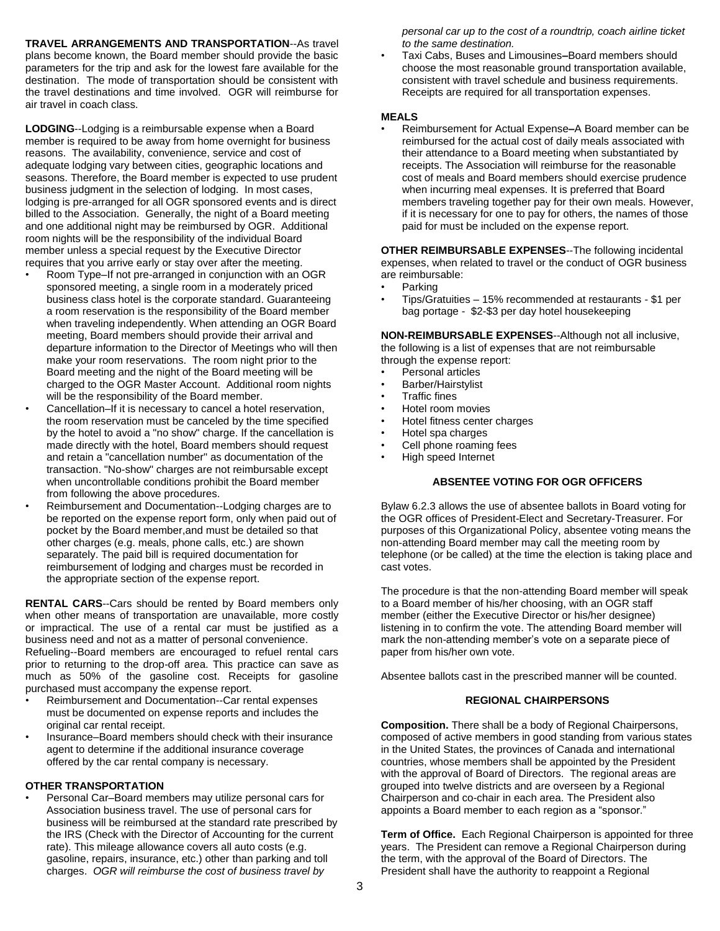**TRAVEL ARRANGEMENTS AND TRANSPORTATION**--As travel plans become known, the Board member should provide the basic parameters for the trip and ask for the lowest fare available for the destination. The mode of transportation should be consistent with the travel destinations and time involved. OGR will reimburse for air travel in coach class.

**LODGING**--Lodging is a reimbursable expense when a Board member is required to be away from home overnight for business reasons. The availability, convenience, service and cost of adequate lodging vary between cities, geographic locations and seasons. Therefore, the Board member is expected to use prudent business judgment in the selection of lodging. In most cases, lodging is pre-arranged for all OGR sponsored events and is direct billed to the Association. Generally, the night of a Board meeting and one additional night may be reimbursed by OGR. Additional room nights will be the responsibility of the individual Board member unless a special request by the Executive Director requires that you arrive early or stay over after the meeting.

- Room Type–If not pre-arranged in conjunction with an OGR sponsored meeting, a single room in a moderately priced business class hotel is the corporate standard. Guaranteeing a room reservation is the responsibility of the Board member when traveling independently. When attending an OGR Board meeting, Board members should provide their arrival and departure information to the Director of Meetings who will then make your room reservations. The room night prior to the Board meeting and the night of the Board meeting will be charged to the OGR Master Account. Additional room nights will be the responsibility of the Board member.
- Cancellation–If it is necessary to cancel a hotel reservation, the room reservation must be canceled by the time specified by the hotel to avoid a "no show" charge. If the cancellation is made directly with the hotel, Board members should request and retain a "cancellation number" as documentation of the transaction. "No-show" charges are not reimbursable except when uncontrollable conditions prohibit the Board member from following the above procedures.
- Reimbursement and Documentation--Lodging charges are to be reported on the expense report form, only when paid out of pocket by the Board member,and must be detailed so that other charges (e.g. meals, phone calls, etc.) are shown separately. The paid bill is required documentation for reimbursement of lodging and charges must be recorded in the appropriate section of the expense report.

**RENTAL CARS**--Cars should be rented by Board members only when other means of transportation are unavailable, more costly or impractical. The use of a rental car must be justified as a business need and not as a matter of personal convenience. Refueling--Board members are encouraged to refuel rental cars prior to returning to the drop-off area. This practice can save as much as 50% of the gasoline cost. Receipts for gasoline purchased must accompany the expense report.

- Reimbursement and Documentation--Car rental expenses must be documented on expense reports and includes the original car rental receipt.
- Insurance–Board members should check with their insurance agent to determine if the additional insurance coverage offered by the car rental company is necessary.

# **OTHER TRANSPORTATION**

• Personal Car–Board members may utilize personal cars for Association business travel. The use of personal cars for business will be reimbursed at the standard rate prescribed by the IRS (Check with the Director of Accounting for the current rate). This mileage allowance covers all auto costs (e.g. gasoline, repairs, insurance, etc.) other than parking and toll charges. *OGR will reimburse the cost of business travel by* 

*personal car up to the cost of a roundtrip, coach airline ticket to the same destination.*

• Taxi Cabs, Buses and Limousines**–**Board members should choose the most reasonable ground transportation available, consistent with travel schedule and business requirements. Receipts are required for all transportation expenses.

#### **MEALS**

• Reimbursement for Actual Expense**–**A Board member can be reimbursed for the actual cost of daily meals associated with their attendance to a Board meeting when substantiated by receipts. The Association will reimburse for the reasonable cost of meals and Board members should exercise prudence when incurring meal expenses. It is preferred that Board members traveling together pay for their own meals. However, if it is necessary for one to pay for others, the names of those paid for must be included on the expense report.

**OTHER REIMBURSABLE EXPENSES**--The following incidental expenses, when related to travel or the conduct of OGR business are reimbursable:

- Parking
- Tips/Gratuities 15% recommended at restaurants \$1 per bag portage - \$2-\$3 per day hotel housekeeping

**NON-REIMBURSABLE EXPENSES**--Although not all inclusive, the following is a list of expenses that are not reimbursable through the expense report:

- Personal articles
- Barber/Hairstylist
- Traffic fines
- Hotel room movies
- Hotel fitness center charges
- Hotel spa charges
- Cell phone roaming fees
- High speed Internet

# **ABSENTEE VOTING FOR OGR OFFICERS**

Bylaw 6.2.3 allows the use of absentee ballots in Board voting for the OGR offices of President-Elect and Secretary-Treasurer. For purposes of this Organizational Policy, absentee voting means the non-attending Board member may call the meeting room by telephone (or be called) at the time the election is taking place and cast votes.

The procedure is that the non-attending Board member will speak to a Board member of his/her choosing, with an OGR staff member (either the Executive Director or his/her designee) listening in to confirm the vote. The attending Board member will mark the non-attending member's vote on a separate piece of paper from his/her own vote.

Absentee ballots cast in the prescribed manner will be counted.

# **REGIONAL CHAIRPERSONS**

**Composition.** There shall be a body of Regional Chairpersons, composed of active members in good standing from various states in the United States, the provinces of Canada and international countries, whose members shall be appointed by the President with the approval of Board of Directors. The regional areas are grouped into twelve districts and are overseen by a Regional Chairperson and co-chair in each area. The President also appoints a Board member to each region as a "sponsor."

**Term of Office.** Each Regional Chairperson is appointed for three years. The President can remove a Regional Chairperson during the term, with the approval of the Board of Directors. The President shall have the authority to reappoint a Regional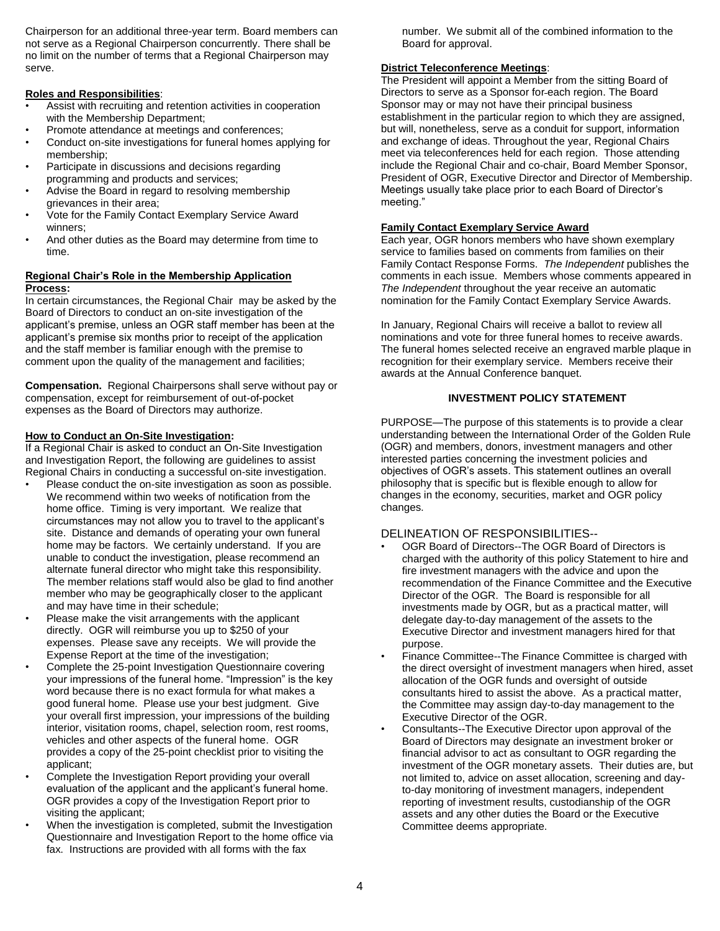Chairperson for an additional three-year term. Board members can not serve as a Regional Chairperson concurrently. There shall be no limit on the number of terms that a Regional Chairperson may serve.

## **Roles and Responsibilities**:

- Assist with recruiting and retention activities in cooperation with the Membership Department;
- Promote attendance at meetings and conferences;
- Conduct on-site investigations for funeral homes applying for membership;
- Participate in discussions and decisions regarding programming and products and services;
- Advise the Board in regard to resolving membership grievances in their area;
- Vote for the Family Contact Exemplary Service Award winners;
- And other duties as the Board may determine from time to time.

# **Regional Chair's Role in the Membership Application Process:**

In certain circumstances, the Regional Chair may be asked by the Board of Directors to conduct an on-site investigation of the applicant's premise, unless an OGR staff member has been at the applicant's premise six months prior to receipt of the application and the staff member is familiar enough with the premise to comment upon the quality of the management and facilities;

**Compensation.** Regional Chairpersons shall serve without pay or compensation, except for reimbursement of out-of-pocket expenses as the Board of Directors may authorize.

## **How to Conduct an On-Site Investigation:**

If a Regional Chair is asked to conduct an On-Site Investigation and Investigation Report, the following are guidelines to assist Regional Chairs in conducting a successful on-site investigation.

- Please conduct the on-site investigation as soon as possible. We recommend within two weeks of notification from the home office. Timing is very important. We realize that circumstances may not allow you to travel to the applicant's site. Distance and demands of operating your own funeral home may be factors. We certainly understand. If you are unable to conduct the investigation, please recommend an alternate funeral director who might take this responsibility. The member relations staff would also be glad to find another member who may be geographically closer to the applicant and may have time in their schedule;
- Please make the visit arrangements with the applicant directly. OGR will reimburse you up to \$250 of your expenses. Please save any receipts. We will provide the Expense Report at the time of the investigation;
- Complete the 25-point Investigation Questionnaire covering your impressions of the funeral home. "Impression" is the key word because there is no exact formula for what makes a good funeral home. Please use your best judgment. Give your overall first impression, your impressions of the building interior, visitation rooms, chapel, selection room, rest rooms, vehicles and other aspects of the funeral home. OGR provides a copy of the 25-point checklist prior to visiting the applicant;
- Complete the Investigation Report providing your overall evaluation of the applicant and the applicant's funeral home. OGR provides a copy of the Investigation Report prior to visiting the applicant;
- When the investigation is completed, submit the Investigation Questionnaire and Investigation Report to the home office via fax. Instructions are provided with all forms with the fax

number. We submit all of the combined information to the Board for approval.

# **District Teleconference Meetings**:

The President will appoint a Member from the sitting Board of Directors to serve as a Sponsor for each region. The Board Sponsor may or may not have their principal business establishment in the particular region to which they are assigned, but will, nonetheless, serve as a conduit for support, information and exchange of ideas. Throughout the year, Regional Chairs meet via teleconferences held for each region. Those attending include the Regional Chair and co-chair, Board Member Sponsor, President of OGR, Executive Director and Director of Membership. Meetings usually take place prior to each Board of Director's meeting."

## **Family Contact Exemplary Service Award**

Each year, OGR honors members who have shown exemplary service to families based on comments from families on their Family Contact Response Forms. *The Independent* publishes the comments in each issue. Members whose comments appeared in *The Independent* throughout the year receive an automatic nomination for the Family Contact Exemplary Service Awards.

In January, Regional Chairs will receive a ballot to review all nominations and vote for three funeral homes to receive awards. The funeral homes selected receive an engraved marble plaque in recognition for their exemplary service. Members receive their awards at the Annual Conference banquet.

# **INVESTMENT POLICY STATEMENT**

PURPOSE—The purpose of this statements is to provide a clear understanding between the International Order of the Golden Rule (OGR) and members, donors, investment managers and other interested parties concerning the investment policies and objectives of OGR's assets. This statement outlines an overall philosophy that is specific but is flexible enough to allow for changes in the economy, securities, market and OGR policy changes.

# DELINEATION OF RESPONSIBILITIES--

- OGR Board of Directors--The OGR Board of Directors is charged with the authority of this policy Statement to hire and fire investment managers with the advice and upon the recommendation of the Finance Committee and the Executive Director of the OGR. The Board is responsible for all investments made by OGR, but as a practical matter, will delegate day-to-day management of the assets to the Executive Director and investment managers hired for that purpose.
- Finance Committee--The Finance Committee is charged with the direct oversight of investment managers when hired, asset allocation of the OGR funds and oversight of outside consultants hired to assist the above. As a practical matter, the Committee may assign day-to-day management to the Executive Director of the OGR.
- Consultants--The Executive Director upon approval of the Board of Directors may designate an investment broker or financial advisor to act as consultant to OGR regarding the investment of the OGR monetary assets. Their duties are, but not limited to, advice on asset allocation, screening and dayto-day monitoring of investment managers, independent reporting of investment results, custodianship of the OGR assets and any other duties the Board or the Executive Committee deems appropriate.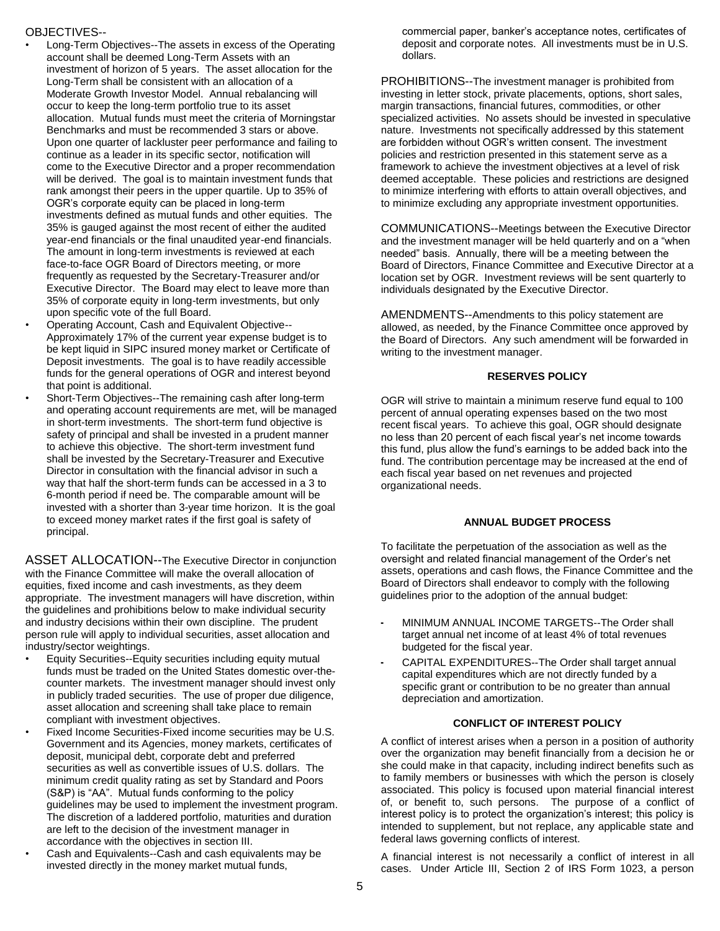# OBJECTIVES--

- Long-Term Objectives--The assets in excess of the Operating account shall be deemed Long-Term Assets with an investment of horizon of 5 years. The asset allocation for the Long-Term shall be consistent with an allocation of a Moderate Growth Investor Model. Annual rebalancing will occur to keep the long-term portfolio true to its asset allocation. Mutual funds must meet the criteria of Morningstar Benchmarks and must be recommended 3 stars or above. Upon one quarter of lackluster peer performance and failing to continue as a leader in its specific sector, notification will come to the Executive Director and a proper recommendation will be derived. The goal is to maintain investment funds that rank amongst their peers in the upper quartile. Up to 35% of OGR's corporate equity can be placed in long-term investments defined as mutual funds and other equities. The 35% is gauged against the most recent of either the audited year-end financials or the final unaudited year-end financials. The amount in long-term investments is reviewed at each face-to-face OGR Board of Directors meeting, or more frequently as requested by the Secretary-Treasurer and/or Executive Director. The Board may elect to leave more than 35% of corporate equity in long-term investments, but only upon specific vote of the full Board.
- Operating Account, Cash and Equivalent Objective-- Approximately 17% of the current year expense budget is to be kept liquid in SIPC insured money market or Certificate of Deposit investments. The goal is to have readily accessible funds for the general operations of OGR and interest beyond that point is additional.
- Short-Term Objectives--The remaining cash after long-term and operating account requirements are met, will be managed in short-term investments. The short-term fund objective is safety of principal and shall be invested in a prudent manner to achieve this objective. The short-term investment fund shall be invested by the Secretary-Treasurer and Executive Director in consultation with the financial advisor in such a way that half the short-term funds can be accessed in a 3 to 6-month period if need be. The comparable amount will be invested with a shorter than 3-year time horizon. It is the goal to exceed money market rates if the first goal is safety of principal.

ASSET ALLOCATION--The Executive Director in conjunction with the Finance Committee will make the overall allocation of equities, fixed income and cash investments, as they deem appropriate. The investment managers will have discretion, within the guidelines and prohibitions below to make individual security and industry decisions within their own discipline. The prudent person rule will apply to individual securities, asset allocation and industry/sector weightings.

- Equity Securities--Equity securities including equity mutual funds must be traded on the United States domestic over-thecounter markets. The investment manager should invest only in publicly traded securities. The use of proper due diligence, asset allocation and screening shall take place to remain compliant with investment objectives.
- Fixed Income Securities-Fixed income securities may be U.S. Government and its Agencies, money markets, certificates of deposit, municipal debt, corporate debt and preferred securities as well as convertible issues of U.S. dollars. The minimum credit quality rating as set by Standard and Poors (S&P) is "AA". Mutual funds conforming to the policy guidelines may be used to implement the investment program. The discretion of a laddered portfolio, maturities and duration are left to the decision of the investment manager in accordance with the objectives in section III.
- Cash and Equivalents--Cash and cash equivalents may be invested directly in the money market mutual funds,

commercial paper, banker's acceptance notes, certificates of deposit and corporate notes. All investments must be in U.S. dollars.

PROHIBITIONS--The investment manager is prohibited from investing in letter stock, private placements, options, short sales, margin transactions, financial futures, commodities, or other specialized activities. No assets should be invested in speculative nature. Investments not specifically addressed by this statement are forbidden without OGR's written consent. The investment policies and restriction presented in this statement serve as a framework to achieve the investment objectives at a level of risk deemed acceptable. These policies and restrictions are designed to minimize interfering with efforts to attain overall objectives, and to minimize excluding any appropriate investment opportunities.

COMMUNICATIONS--Meetings between the Executive Director and the investment manager will be held quarterly and on a "when needed" basis. Annually, there will be a meeting between the Board of Directors, Finance Committee and Executive Director at a location set by OGR. Investment reviews will be sent quarterly to individuals designated by the Executive Director.

AMENDMENTS--Amendments to this policy statement are allowed, as needed, by the Finance Committee once approved by the Board of Directors. Any such amendment will be forwarded in writing to the investment manager.

#### **RESERVES POLICY**

OGR will strive to maintain a minimum reserve fund equal to 100 percent of annual operating expenses based on the two most recent fiscal years. To achieve this goal, OGR should designate no less than 20 percent of each fiscal year's net income towards this fund, plus allow the fund's earnings to be added back into the fund. The contribution percentage may be increased at the end of each fiscal year based on net revenues and projected organizational needs.

#### **ANNUAL BUDGET PROCESS**

To facilitate the perpetuation of the association as well as the oversight and related financial management of the Order's net assets, operations and cash flows, the Finance Committee and the Board of Directors shall endeavor to comply with the following guidelines prior to the adoption of the annual budget:

- MINIMUM ANNUAL INCOME TARGETS--The Order shall target annual net income of at least 4% of total revenues budgeted for the fiscal year.
- CAPITAL EXPENDITURES--The Order shall target annual capital expenditures which are not directly funded by a specific grant or contribution to be no greater than annual depreciation and amortization.

#### **CONFLICT OF INTEREST POLICY**

A conflict of interest arises when a person in a position of authority over the organization may benefit financially from a decision he or she could make in that capacity, including indirect benefits such as to family members or businesses with which the person is closely associated. This policy is focused upon material financial interest of, or benefit to, such persons. The purpose of a conflict of interest policy is to protect the organization's interest; this policy is intended to supplement, but not replace, any applicable state and federal laws governing conflicts of interest.

A financial interest is not necessarily a conflict of interest in all cases. Under Article III, Section 2 of IRS Form 1023, a person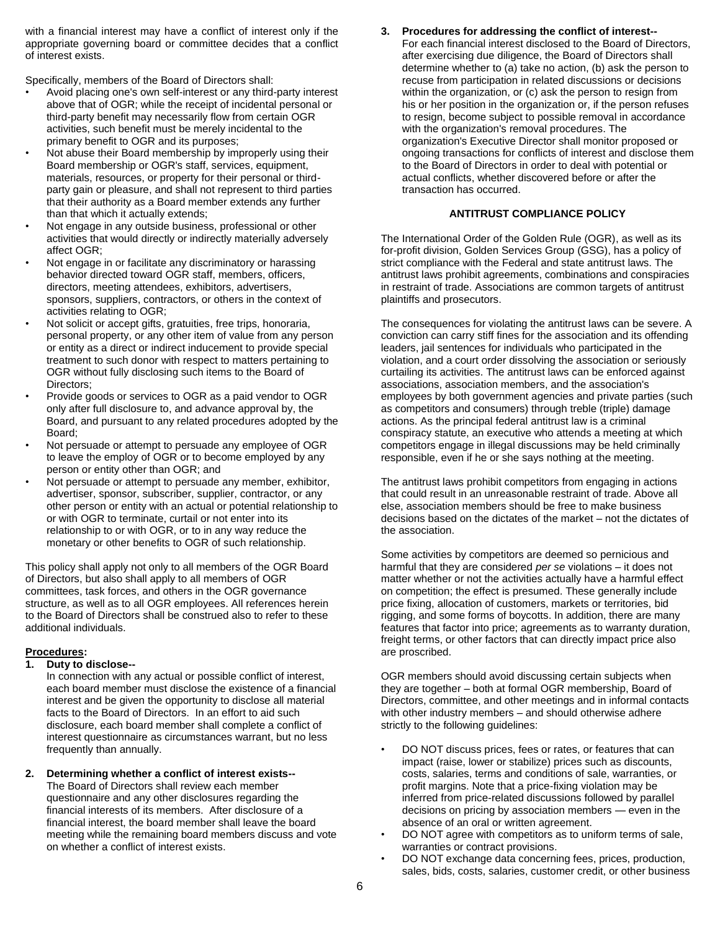with a financial interest may have a conflict of interest only if the appropriate governing board or committee decides that a conflict of interest exists.

Specifically, members of the Board of Directors shall:

- Avoid placing one's own self-interest or any third-party interest above that of OGR; while the receipt of incidental personal or third-party benefit may necessarily flow from certain OGR activities, such benefit must be merely incidental to the primary benefit to OGR and its purposes;
- Not abuse their Board membership by improperly using their Board membership or OGR's staff, services, equipment, materials, resources, or property for their personal or thirdparty gain or pleasure, and shall not represent to third parties that their authority as a Board member extends any further than that which it actually extends;
- Not engage in any outside business, professional or other activities that would directly or indirectly materially adversely affect OGR;
- Not engage in or facilitate any discriminatory or harassing behavior directed toward OGR staff, members, officers, directors, meeting attendees, exhibitors, advertisers, sponsors, suppliers, contractors, or others in the context of activities relating to OGR;
- Not solicit or accept gifts, gratuities, free trips, honoraria, personal property, or any other item of value from any person or entity as a direct or indirect inducement to provide special treatment to such donor with respect to matters pertaining to OGR without fully disclosing such items to the Board of Directors;
- Provide goods or services to OGR as a paid vendor to OGR only after full disclosure to, and advance approval by, the Board, and pursuant to any related procedures adopted by the Board;
- Not persuade or attempt to persuade any employee of OGR to leave the employ of OGR or to become employed by any person or entity other than OGR; and
- Not persuade or attempt to persuade any member, exhibitor, advertiser, sponsor, subscriber, supplier, contractor, or any other person or entity with an actual or potential relationship to or with OGR to terminate, curtail or not enter into its relationship to or with OGR, or to in any way reduce the monetary or other benefits to OGR of such relationship.

This policy shall apply not only to all members of the OGR Board of Directors, but also shall apply to all members of OGR committees, task forces, and others in the OGR governance structure, as well as to all OGR employees. All references herein to the Board of Directors shall be construed also to refer to these additional individuals.

# **Procedures:**

#### **1. Duty to disclose--**

In connection with any actual or possible conflict of interest, each board member must disclose the existence of a financial interest and be given the opportunity to disclose all material facts to the Board of Directors. In an effort to aid such disclosure, each board member shall complete a conflict of interest questionnaire as circumstances warrant, but no less frequently than annually.

**2. Determining whether a conflict of interest exists--** The Board of Directors shall review each member questionnaire and any other disclosures regarding the

financial interests of its members. After disclosure of a financial interest, the board member shall leave the board meeting while the remaining board members discuss and vote on whether a conflict of interest exists.

## **3. Procedures for addressing the conflict of interest--**

For each financial interest disclosed to the Board of Directors, after exercising due diligence, the Board of Directors shall determine whether to (a) take no action, (b) ask the person to recuse from participation in related discussions or decisions within the organization, or (c) ask the person to resign from his or her position in the organization or, if the person refuses to resign, become subject to possible removal in accordance with the organization's removal procedures. The organization's Executive Director shall monitor proposed or ongoing transactions for conflicts of interest and disclose them to the Board of Directors in order to deal with potential or actual conflicts, whether discovered before or after the transaction has occurred.

## **ANTITRUST COMPLIANCE POLICY**

The International Order of the Golden Rule (OGR), as well as its for-profit division, Golden Services Group (GSG), has a policy of strict compliance with the Federal and state antitrust laws. The antitrust laws prohibit agreements, combinations and conspiracies in restraint of trade. Associations are common targets of antitrust plaintiffs and prosecutors.

The consequences for violating the antitrust laws can be severe. A conviction can carry stiff fines for the association and its offending leaders, jail sentences for individuals who participated in the violation, and a court order dissolving the association or seriously curtailing its activities. The antitrust laws can be enforced against associations, association members, and the association's employees by both government agencies and private parties (such as competitors and consumers) through treble (triple) damage actions. As the principal federal antitrust law is a criminal conspiracy statute, an executive who attends a meeting at which competitors engage in illegal discussions may be held criminally responsible, even if he or she says nothing at the meeting.

The antitrust laws prohibit competitors from engaging in actions that could result in an unreasonable restraint of trade. Above all else, association members should be free to make business decisions based on the dictates of the market – not the dictates of the association.

Some activities by competitors are deemed so pernicious and harmful that they are considered *per se* violations – it does not matter whether or not the activities actually have a harmful effect on competition; the effect is presumed. These generally include price fixing, allocation of customers, markets or territories, bid rigging, and some forms of boycotts. In addition, there are many features that factor into price; agreements as to warranty duration, freight terms, or other factors that can directly impact price also are proscribed.

OGR members should avoid discussing certain subjects when they are together – both at formal OGR membership, Board of Directors, committee, and other meetings and in informal contacts with other industry members – and should otherwise adhere strictly to the following guidelines:

- DO NOT discuss prices, fees or rates, or features that can impact (raise, lower or stabilize) prices such as discounts, costs, salaries, terms and conditions of sale, warranties, or profit margins. Note that a price-fixing violation may be inferred from price-related discussions followed by parallel decisions on pricing by association members — even in the absence of an oral or written agreement.
- DO NOT agree with competitors as to uniform terms of sale, warranties or contract provisions.
- DO NOT exchange data concerning fees, prices, production, sales, bids, costs, salaries, customer credit, or other business